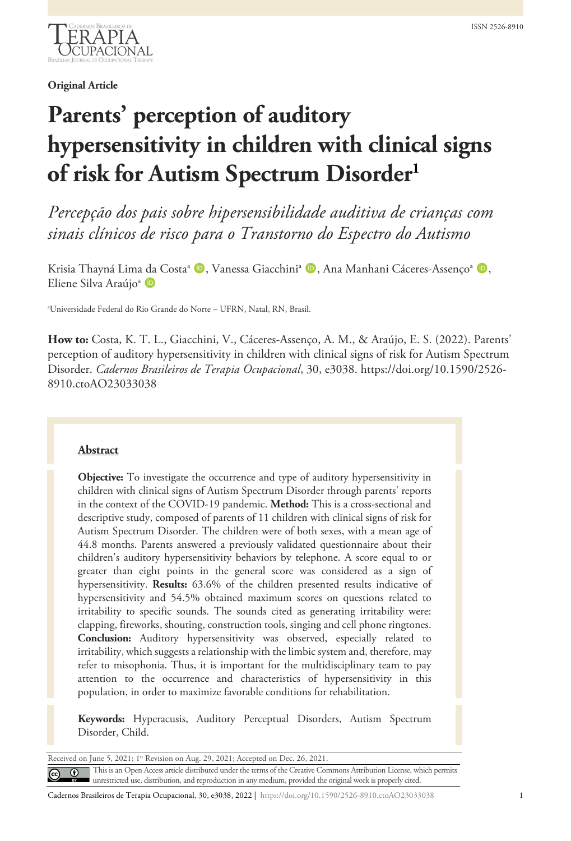

**Original Article**

# **Parents' perception of auditory hypersensitivity in children with clinical signs of risk for Autism Spectrum Disorder1**

*Percepção dos pais sobre hipersensibilidade auditiva de crianças com sinais clínicos de risco para o Transtorno do Espectro do Autismo*

Krisia Thayná Lima da Costa<sup>a</sup> (D, Vanessa Giacchini<sup>a</sup> (D, Ana Manhani Cáceres-Assenço<sup>a (D</sup>, Eliene Silva Araújo<sup>a</sup> D

a Universidade Federal do Rio Grande do Norte – UFRN, Natal, RN, Brasil.

**How to:** Costa, K. T. L., Giacchini, V., Cáceres-Assenço, A. M., & Araújo, E. S. (2022). Parents' perception of auditory hypersensitivity in children with clinical signs of risk for Autism Spectrum Disorder. *Cadernos Brasileiros de Terapia Ocupacional*, 30, e3038. https://doi.org/10.1590/2526- 8910.ctoAO23033038

## **Abstract**

**Objective:** To investigate the occurrence and type of auditory hypersensitivity in children with clinical signs of Autism Spectrum Disorder through parents' reports in the context of the COVID-19 pandemic. **Method:** This is a cross-sectional and descriptive study, composed of parents of 11 children with clinical signs of risk for Autism Spectrum Disorder. The children were of both sexes, with a mean age of 44.8 months. Parents answered a previously validated questionnaire about their children's auditory hypersensitivity behaviors by telephone. A score equal to or greater than eight points in the general score was considered as a sign of hypersensitivity. **Results:** 63.6% of the children presented results indicative of hypersensitivity and 54.5% obtained maximum scores on questions related to irritability to specific sounds. The sounds cited as generating irritability were: clapping, fireworks, shouting, construction tools, singing and cell phone ringtones. **Conclusion:** Auditory hypersensitivity was observed, especially related to irritability, which suggests a relationship with the limbic system and, therefore, may refer to misophonia. Thus, it is important for the multidisciplinary team to pay attention to the occurrence and characteristics of hypersensitivity in this population, in order to maximize favorable conditions for rehabilitation.

**Keywords:** Hyperacusis, Auditory Perceptual Disorders, Autism Spectrum Disorder, Child.

| Received on June 5, 2021; 1 <sup>st</sup> Revision on Aug. 29, 2021; Accepted on Dec. 26, 2021. |  |                                                                                                                                                                                                                                     |  |  |  |  |  |
|-------------------------------------------------------------------------------------------------|--|-------------------------------------------------------------------------------------------------------------------------------------------------------------------------------------------------------------------------------------|--|--|--|--|--|
|                                                                                                 |  | <b>C</b> This is an Open Access article distributed under the terms of the Creative Commons Attribution License, which permits unrestricted use, distribution, and reproduction in any medium, provided the original work is proper |  |  |  |  |  |
|                                                                                                 |  |                                                                                                                                                                                                                                     |  |  |  |  |  |

Cadernos Brasileiros de Terapia Ocupacional, 30, e3038, 2022 | https://doi.org/10.1590/2526-8910.ctoAO23033038 1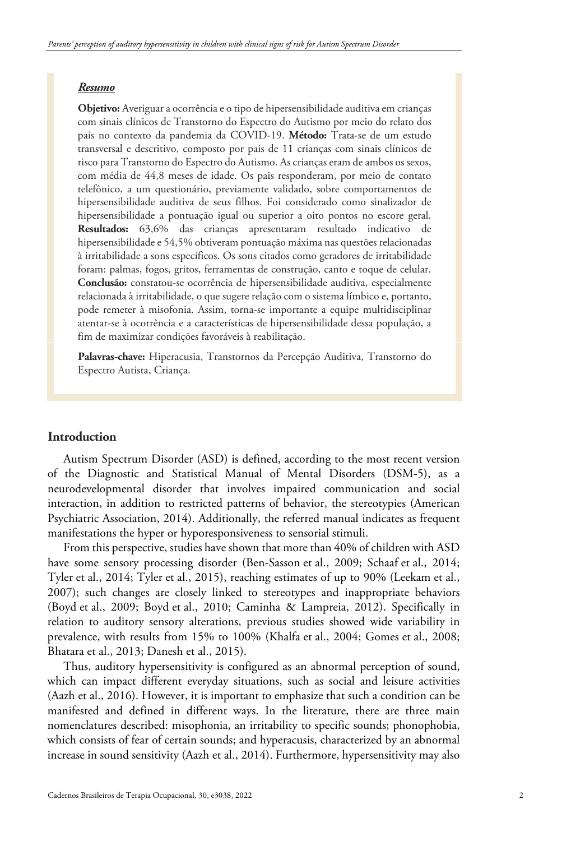#### *Resumo*

**Objetivo:** Averiguar a ocorrência e o tipo de hipersensibilidade auditiva em crianças com sinais clínicos de Transtorno do Espectro do Autismo por meio do relato dos pais no contexto da pandemia da COVID-19. **Método:** Trata-se de um estudo transversal e descritivo, composto por pais de 11 crianças com sinais clínicos de risco para Transtorno do Espectro do Autismo. As crianças eram de ambos os sexos, com média de 44,8 meses de idade. Os pais responderam, por meio de contato telefônico, a um questionário, previamente validado, sobre comportamentos de hipersensibilidade auditiva de seus filhos. Foi considerado como sinalizador de hipersensibilidade a pontuação igual ou superior a oito pontos no escore geral. **Resultados:** 63,6% das crianças apresentaram resultado indicativo de hipersensibilidade e 54,5% obtiveram pontuação máxima nas questões relacionadas à irritabilidade a sons específicos. Os sons citados como geradores de irritabilidade foram: palmas, fogos, gritos, ferramentas de construção, canto e toque de celular. **Conclusão:** constatou-se ocorrência de hipersensibilidade auditiva, especialmente relacionada à irritabilidade, o que sugere relação com o sistema límbico e, portanto, pode remeter à misofonia. Assim, torna-se importante a equipe multidisciplinar atentar-se à ocorrência e a características de hipersensibilidade dessa população, a fim de maximizar condições favoráveis à reabilitação.

**Palavras-chave:** Hiperacusia, Transtornos da Percepção Auditiva, Transtorno do Espectro Autista, Criança.

## **Introduction**

Autism Spectrum Disorder (ASD) is defined, according to the most recent version of the Diagnostic and Statistical Manual of Mental Disorders (DSM-5), as a neurodevelopmental disorder that involves impaired communication and social interaction, in addition to restricted patterns of behavior, the stereotypies (American Psychiatric Association, 2014). Additionally, the referred manual indicates as frequent manifestations the hyper or hyporesponsiveness to sensorial stimuli.

From this perspective, studies have shown that more than 40% of children with ASD have some sensory processing disorder (Ben-Sasson et al., 2009; Schaaf et al., 2014; Tyler et al., 2014; Tyler et al., 2015), reaching estimates of up to 90% (Leekam et al., 2007); such changes are closely linked to stereotypes and inappropriate behaviors (Boyd et al., 2009; Boyd et al., 2010; Caminha & Lampreia, 2012). Specifically in relation to auditory sensory alterations, previous studies showed wide variability in prevalence, with results from 15% to 100% (Khalfa et al., 2004; Gomes et al., 2008; Bhatara et al., 2013; Danesh et al., 2015).

Thus, auditory hypersensitivity is configured as an abnormal perception of sound, which can impact different everyday situations, such as social and leisure activities (Aazh et al., 2016). However, it is important to emphasize that such a condition can be manifested and defined in different ways. In the literature, there are three main nomenclatures described: misophonia, an irritability to specific sounds; phonophobia, which consists of fear of certain sounds; and hyperacusis, characterized by an abnormal increase in sound sensitivity (Aazh et al., 2014). Furthermore, hypersensitivity may also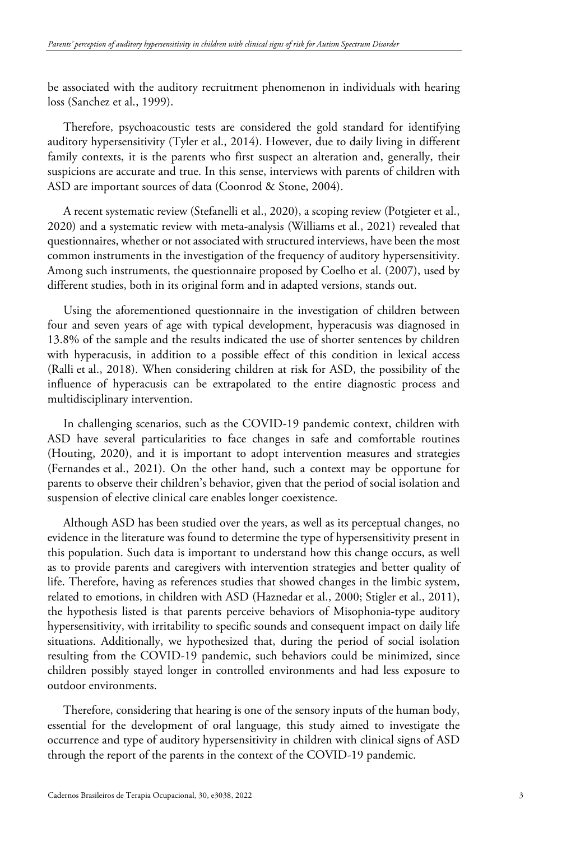be associated with the auditory recruitment phenomenon in individuals with hearing loss (Sanchez et al., 1999).

Therefore, psychoacoustic tests are considered the gold standard for identifying auditory hypersensitivity (Tyler et al., 2014). However, due to daily living in different family contexts, it is the parents who first suspect an alteration and, generally, their suspicions are accurate and true. In this sense, interviews with parents of children with ASD are important sources of data (Coonrod & Stone, 2004).

A recent systematic review (Stefanelli et al., 2020), a scoping review (Potgieter et al., 2020) and a systematic review with meta-analysis (Williams et al., 2021) revealed that questionnaires, whether or not associated with structured interviews, have been the most common instruments in the investigation of the frequency of auditory hypersensitivity. Among such instruments, the questionnaire proposed by Coelho et al. (2007), used by different studies, both in its original form and in adapted versions, stands out.

Using the aforementioned questionnaire in the investigation of children between four and seven years of age with typical development, hyperacusis was diagnosed in 13.8% of the sample and the results indicated the use of shorter sentences by children with hyperacusis, in addition to a possible effect of this condition in lexical access (Ralli et al., 2018). When considering children at risk for ASD, the possibility of the influence of hyperacusis can be extrapolated to the entire diagnostic process and multidisciplinary intervention.

In challenging scenarios, such as the COVID-19 pandemic context, children with ASD have several particularities to face changes in safe and comfortable routines (Houting, 2020), and it is important to adopt intervention measures and strategies (Fernandes et al., 2021). On the other hand, such a context may be opportune for parents to observe their children's behavior, given that the period of social isolation and suspension of elective clinical care enables longer coexistence.

Although ASD has been studied over the years, as well as its perceptual changes, no evidence in the literature was found to determine the type of hypersensitivity present in this population. Such data is important to understand how this change occurs, as well as to provide parents and caregivers with intervention strategies and better quality of life. Therefore, having as references studies that showed changes in the limbic system, related to emotions, in children with ASD (Haznedar et al., 2000; Stigler et al., 2011), the hypothesis listed is that parents perceive behaviors of Misophonia-type auditory hypersensitivity, with irritability to specific sounds and consequent impact on daily life situations. Additionally, we hypothesized that, during the period of social isolation resulting from the COVID-19 pandemic, such behaviors could be minimized, since children possibly stayed longer in controlled environments and had less exposure to outdoor environments.

Therefore, considering that hearing is one of the sensory inputs of the human body, essential for the development of oral language, this study aimed to investigate the occurrence and type of auditory hypersensitivity in children with clinical signs of ASD through the report of the parents in the context of the COVID-19 pandemic.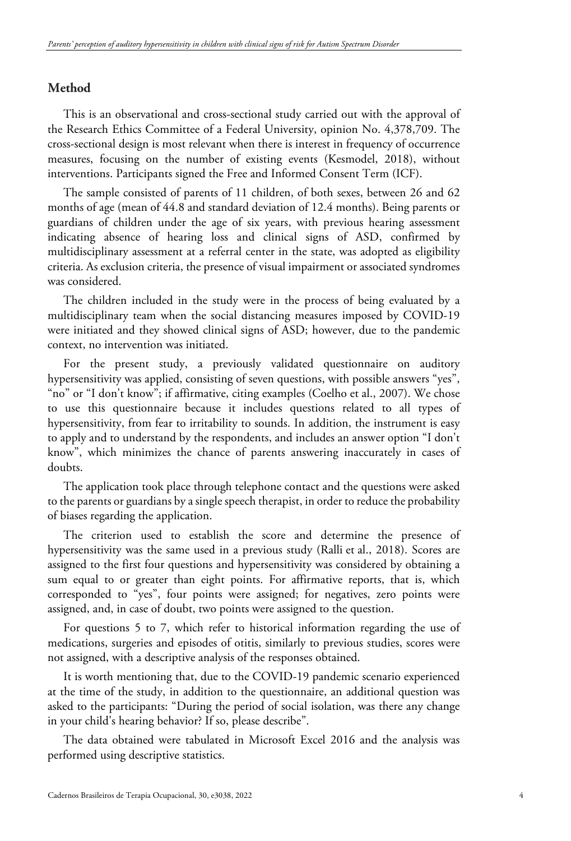# **Method**

This is an observational and cross-sectional study carried out with the approval of the Research Ethics Committee of a Federal University, opinion No. 4,378,709. The cross-sectional design is most relevant when there is interest in frequency of occurrence measures, focusing on the number of existing events (Kesmodel, 2018), without interventions. Participants signed the Free and Informed Consent Term (ICF).

The sample consisted of parents of 11 children, of both sexes, between 26 and 62 months of age (mean of 44.8 and standard deviation of 12.4 months). Being parents or guardians of children under the age of six years, with previous hearing assessment indicating absence of hearing loss and clinical signs of ASD, confirmed by multidisciplinary assessment at a referral center in the state, was adopted as eligibility criteria. As exclusion criteria, the presence of visual impairment or associated syndromes was considered.

The children included in the study were in the process of being evaluated by a multidisciplinary team when the social distancing measures imposed by COVID-19 were initiated and they showed clinical signs of ASD; however, due to the pandemic context, no intervention was initiated.

For the present study, a previously validated questionnaire on auditory hypersensitivity was applied, consisting of seven questions, with possible answers "yes", "no" or "I don't know"; if affirmative, citing examples (Coelho et al., 2007). We chose to use this questionnaire because it includes questions related to all types of hypersensitivity, from fear to irritability to sounds. In addition, the instrument is easy to apply and to understand by the respondents, and includes an answer option "I don't know", which minimizes the chance of parents answering inaccurately in cases of doubts.

The application took place through telephone contact and the questions were asked to the parents or guardians by a single speech therapist, in order to reduce the probability of biases regarding the application.

The criterion used to establish the score and determine the presence of hypersensitivity was the same used in a previous study (Ralli et al., 2018). Scores are assigned to the first four questions and hypersensitivity was considered by obtaining a sum equal to or greater than eight points. For affirmative reports, that is, which corresponded to "yes", four points were assigned; for negatives, zero points were assigned, and, in case of doubt, two points were assigned to the question.

For questions 5 to 7, which refer to historical information regarding the use of medications, surgeries and episodes of otitis, similarly to previous studies, scores were not assigned, with a descriptive analysis of the responses obtained.

It is worth mentioning that, due to the COVID-19 pandemic scenario experienced at the time of the study, in addition to the questionnaire, an additional question was asked to the participants: "During the period of social isolation, was there any change in your child's hearing behavior? If so, please describe".

The data obtained were tabulated in Microsoft Excel 2016 and the analysis was performed using descriptive statistics.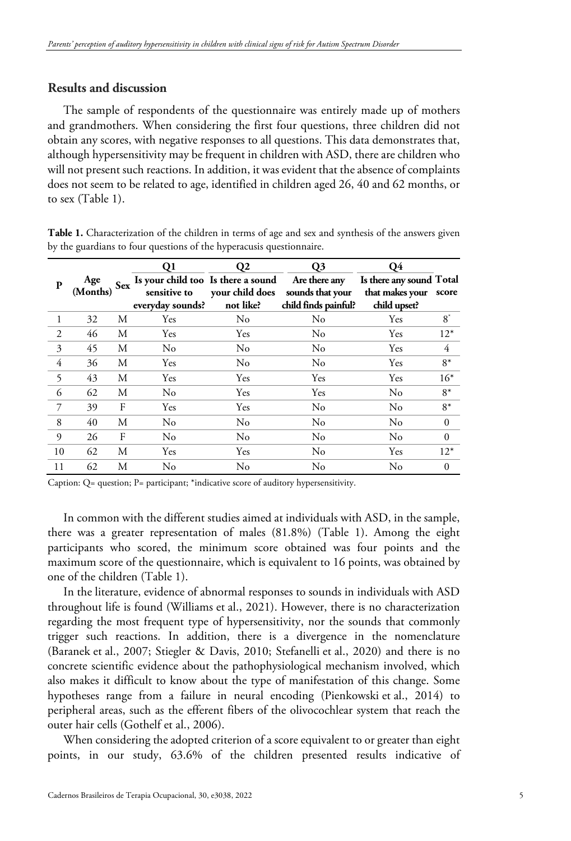# **Results and discussion**

The sample of respondents of the questionnaire was entirely made up of mothers and grandmothers. When considering the first four questions, three children did not obtain any scores, with negative responses to all questions. This data demonstrates that, although hypersensitivity may be frequent in children with ASD, there are children who will not present such reactions. In addition, it was evident that the absence of complaints does not seem to be related to age, identified in children aged 26, 40 and 62 months, or to sex (Table 1).

**Table 1.** Characterization of the children in terms of age and sex and synthesis of the answers given by the guardians to four questions of the hyperacusis questionnaire.

|    |          | <b>Sex</b> | Q <sub>1</sub>                                   | Q <sub>2</sub>  | Q <sub>3</sub>       | <b>O</b> 4               |              |
|----|----------|------------|--------------------------------------------------|-----------------|----------------------|--------------------------|--------------|
| P  | Age      |            | Is your child too Is there a sound Are there any |                 |                      | Is there any sound Total |              |
|    | (Months) |            | sensitive to                                     | your child does | sounds that your     | that makes your          | score        |
|    |          |            | everyday sounds?                                 | not like?       | child finds painful? | child upset?             |              |
|    | 32       | М          | Yes                                              | N <sub>0</sub>  | No                   | Yes                      | $8^*$        |
| 2  | 46       | М          | <b>Yes</b>                                       | <b>Yes</b>      | $\rm No$             | <b>Yes</b>               | $12*$        |
| 3  | 45       | М          | No                                               | N <sub>0</sub>  | N <sub>0</sub>       | Yes                      | 4            |
| 4  | 36       | М          | Yes                                              | N <sub>o</sub>  | $\rm No$             | Yes                      | $8*$         |
| 5  | 43       | M          | Yes                                              | Yes             | Yes                  | Yes                      | $16*$        |
| 6  | 62       | M          | N <sub>0</sub>                                   | Yes             | Yes                  | No                       | $8*$         |
|    | 39       | F          | Yes                                              | Yes             | No                   | No                       | $8*$         |
| 8  | 40       | M          | No                                               | $\rm No$        | No                   | No                       | $\theta$     |
| 9  | 26       | F          | No                                               | No              | No                   | No                       | $\mathbf{0}$ |
| 10 | 62       | M          | Yes                                              | Yes             | $\rm No$             | Yes                      | $12*$        |
| 11 | 62       | М          | No                                               | No              | No                   | No                       | $\Omega$     |

Caption: Q= question; P= participant; \*indicative score of auditory hypersensitivity.

In common with the different studies aimed at individuals with ASD, in the sample, there was a greater representation of males (81.8%) (Table 1). Among the eight participants who scored, the minimum score obtained was four points and the maximum score of the questionnaire, which is equivalent to 16 points, was obtained by one of the children (Table 1).

In the literature, evidence of abnormal responses to sounds in individuals with ASD throughout life is found (Williams et al., 2021). However, there is no characterization regarding the most frequent type of hypersensitivity, nor the sounds that commonly trigger such reactions. In addition, there is a divergence in the nomenclature (Baranek et al., 2007; Stiegler & Davis, 2010; Stefanelli et al., 2020) and there is no concrete scientific evidence about the pathophysiological mechanism involved, which also makes it difficult to know about the type of manifestation of this change. Some hypotheses range from a failure in neural encoding (Pienkowski et al., 2014) to peripheral areas, such as the efferent fibers of the olivocochlear system that reach the outer hair cells (Gothelf et al., 2006).

When considering the adopted criterion of a score equivalent to or greater than eight points, in our study, 63.6% of the children presented results indicative of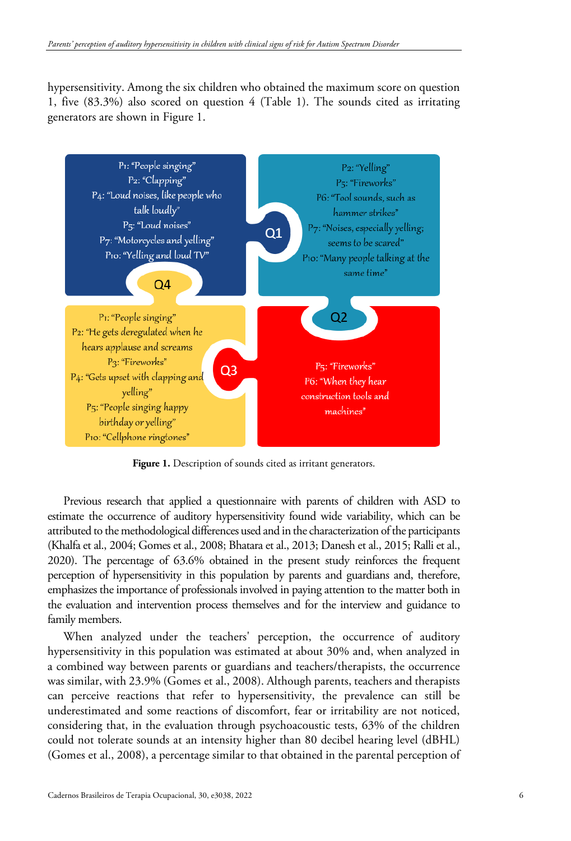hypersensitivity. Among the six children who obtained the maximum score on question 1, five (83.3%) also scored on question 4 (Table 1). The sounds cited as irritating generators are shown in Figure 1.



Figure 1. Description of sounds cited as irritant generators.

Previous research that applied a questionnaire with parents of children with ASD to estimate the occurrence of auditory hypersensitivity found wide variability, which can be attributed to the methodological differences used and in the characterization of the participants (Khalfa et al., 2004; Gomes et al., 2008; Bhatara et al., 2013; Danesh et al., 2015; Ralli et al., 2020). The percentage of 63.6% obtained in the present study reinforces the frequent perception of hypersensitivity in this population by parents and guardians and, therefore, emphasizes the importance of professionals involved in paying attention to the matter both in the evaluation and intervention process themselves and for the interview and guidance to family members.

When analyzed under the teachers' perception, the occurrence of auditory hypersensitivity in this population was estimated at about 30% and, when analyzed in a combined way between parents or guardians and teachers/therapists, the occurrence was similar, with 23.9% (Gomes et al., 2008). Although parents, teachers and therapists can perceive reactions that refer to hypersensitivity, the prevalence can still be underestimated and some reactions of discomfort, fear or irritability are not noticed, considering that, in the evaluation through psychoacoustic tests, 63% of the children could not tolerate sounds at an intensity higher than 80 decibel hearing level (dBHL) (Gomes et al., 2008), a percentage similar to that obtained in the parental perception of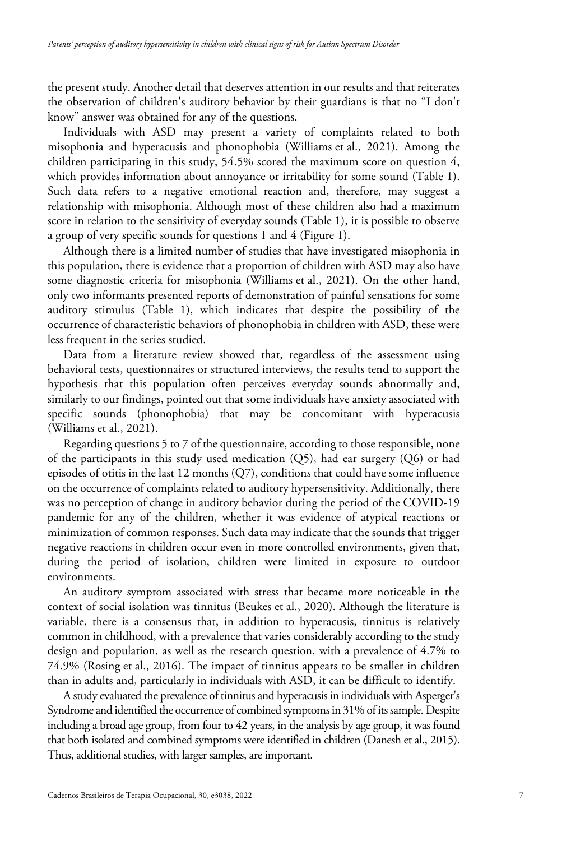the present study. Another detail that deserves attention in our results and that reiterates the observation of children's auditory behavior by their guardians is that no "I don't know" answer was obtained for any of the questions.

Individuals with ASD may present a variety of complaints related to both misophonia and hyperacusis and phonophobia (Williams et al., 2021). Among the children participating in this study, 54.5% scored the maximum score on question 4, which provides information about annoyance or irritability for some sound (Table 1). Such data refers to a negative emotional reaction and, therefore, may suggest a relationship with misophonia. Although most of these children also had a maximum score in relation to the sensitivity of everyday sounds (Table 1), it is possible to observe a group of very specific sounds for questions 1 and 4 (Figure 1).

Although there is a limited number of studies that have investigated misophonia in this population, there is evidence that a proportion of children with ASD may also have some diagnostic criteria for misophonia (Williams et al., 2021). On the other hand, only two informants presented reports of demonstration of painful sensations for some auditory stimulus (Table 1), which indicates that despite the possibility of the occurrence of characteristic behaviors of phonophobia in children with ASD, these were less frequent in the series studied.

Data from a literature review showed that, regardless of the assessment using behavioral tests, questionnaires or structured interviews, the results tend to support the hypothesis that this population often perceives everyday sounds abnormally and, similarly to our findings, pointed out that some individuals have anxiety associated with specific sounds (phonophobia) that may be concomitant with hyperacusis (Williams et al., 2021).

Regarding questions 5 to 7 of the questionnaire, according to those responsible, none of the participants in this study used medication  $(Q5)$ , had ear surgery  $(Q6)$  or had episodes of otitis in the last 12 months  $(Q7)$ , conditions that could have some influence on the occurrence of complaints related to auditory hypersensitivity. Additionally, there was no perception of change in auditory behavior during the period of the COVID-19 pandemic for any of the children, whether it was evidence of atypical reactions or minimization of common responses. Such data may indicate that the sounds that trigger negative reactions in children occur even in more controlled environments, given that, during the period of isolation, children were limited in exposure to outdoor environments.

An auditory symptom associated with stress that became more noticeable in the context of social isolation was tinnitus (Beukes et al., 2020). Although the literature is variable, there is a consensus that, in addition to hyperacusis, tinnitus is relatively common in childhood, with a prevalence that varies considerably according to the study design and population, as well as the research question, with a prevalence of 4.7% to 74.9% (Rosing et al., 2016). The impact of tinnitus appears to be smaller in children than in adults and, particularly in individuals with ASD, it can be difficult to identify.

A study evaluated the prevalence of tinnitus and hyperacusis in individuals with Asperger's Syndrome and identified the occurrence of combined symptoms in 31% of its sample. Despite including a broad age group, from four to 42 years, in the analysis by age group, it was found that both isolated and combined symptoms were identified in children (Danesh et al., 2015). Thus, additional studies, with larger samples, are important.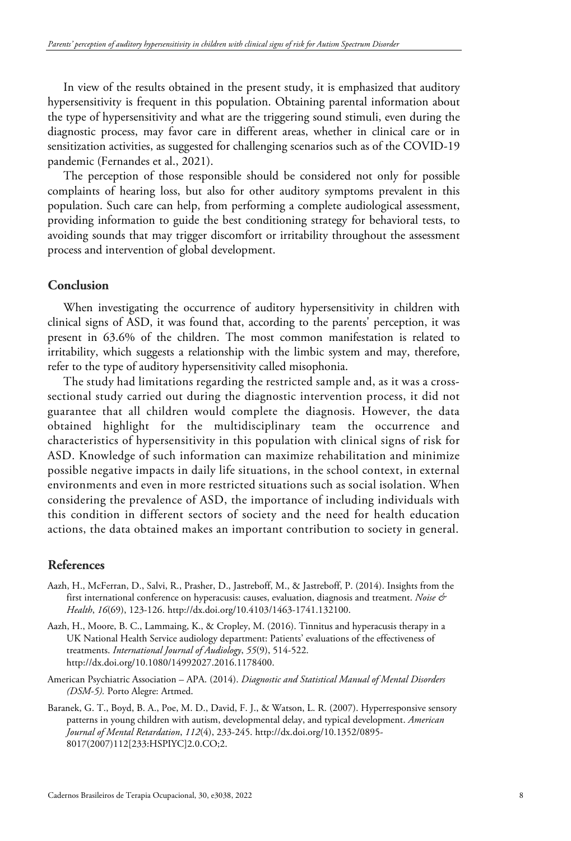In view of the results obtained in the present study, it is emphasized that auditory hypersensitivity is frequent in this population. Obtaining parental information about the type of hypersensitivity and what are the triggering sound stimuli, even during the diagnostic process, may favor care in different areas, whether in clinical care or in sensitization activities, as suggested for challenging scenarios such as of the COVID-19 pandemic (Fernandes et al., 2021).

The perception of those responsible should be considered not only for possible complaints of hearing loss, but also for other auditory symptoms prevalent in this population. Such care can help, from performing a complete audiological assessment, providing information to guide the best conditioning strategy for behavioral tests, to avoiding sounds that may trigger discomfort or irritability throughout the assessment process and intervention of global development.

## **Conclusion**

When investigating the occurrence of auditory hypersensitivity in children with clinical signs of ASD, it was found that, according to the parents' perception, it was present in 63.6% of the children. The most common manifestation is related to irritability, which suggests a relationship with the limbic system and may, therefore, refer to the type of auditory hypersensitivity called misophonia.

The study had limitations regarding the restricted sample and, as it was a crosssectional study carried out during the diagnostic intervention process, it did not guarantee that all children would complete the diagnosis. However, the data obtained highlight for the multidisciplinary team the occurrence and characteristics of hypersensitivity in this population with clinical signs of risk for ASD. Knowledge of such information can maximize rehabilitation and minimize possible negative impacts in daily life situations, in the school context, in external environments and even in more restricted situations such as social isolation. When considering the prevalence of ASD, the importance of including individuals with this condition in different sectors of society and the need for health education actions, the data obtained makes an important contribution to society in general.

## **References**

- Aazh, H., McFerran, D., Salvi, R., Prasher, D., Jastreboff, M., & Jastreboff, P. (2014). Insights from the first international conference on hyperacusis: causes, evaluation, diagnosis and treatment. *Noise & Health*, *16*(69), 123-126. http://dx.doi.org/10.4103/1463-1741.132100.
- Aazh, H., Moore, B. C., Lammaing, K., & Cropley, M. (2016). Tinnitus and hyperacusis therapy in a UK National Health Service audiology department: Patients' evaluations of the effectiveness of treatments. *International Journal of Audiology*, *55*(9), 514-522. http://dx.doi.org/10.1080/14992027.2016.1178400.
- American Psychiatric Association APA. (2014). *Diagnostic and Statistical Manual of Mental Disorders (DSM-5).* Porto Alegre: Artmed.
- Baranek, G. T., Boyd, B. A., Poe, M. D., David, F. J., & Watson, L. R. (2007). Hyperresponsive sensory patterns in young children with autism, developmental delay, and typical development. *American Journal of Mental Retardation*, *112*(4), 233-245. http://dx.doi.org/10.1352/0895- 8017(2007)112[233:HSPIYC]2.0.CO;2.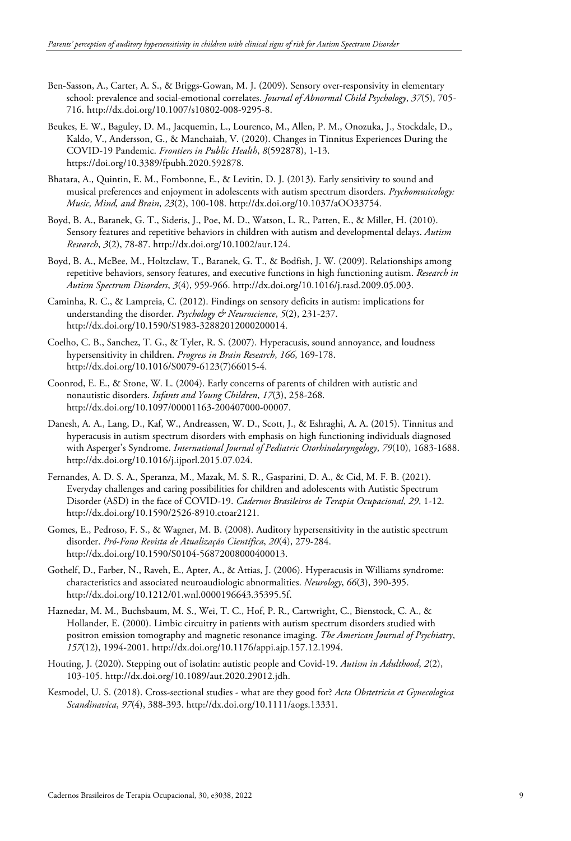- Ben-Sasson, A., Carter, A. S., & Briggs-Gowan, M. J. (2009). Sensory over-responsivity in elementary school: prevalence and social-emotional correlates. *Journal of Abnormal Child Psychology*, *37*(5), 705- 716. http://dx.doi.org/10.1007/s10802-008-9295-8.
- Beukes, E. W., Baguley, D. M., Jacquemin, L., Lourenco, M., Allen, P. M., Onozuka, J., Stockdale, D., Kaldo, V., Andersson, G., & Manchaiah, V. (2020). Changes in Tinnitus Experiences During the COVID-19 Pandemic. *Frontiers in Public Health*, *8*(592878), 1-13. [https://doi.org/10.3389/fpubh.2020.592878.](https://doi.org/10.3389/fpubh.2020.592878)
- Bhatara, A., Quintin, E. M., Fombonne, E., & Levitin, D. J. (2013). Early sensitivity to sound and musical preferences and enjoyment in adolescents with autism spectrum disorders. *Psychomusicology: Music, Mind, and Brain*, *23*(2), 100-108. http://dx.doi.org/10.1037/aOO33754.
- Boyd, B. A., Baranek, G. T., Sideris, J., Poe, M. D., Watson, L. R., Patten, E., & Miller, H. (2010). Sensory features and repetitive behaviors in children with autism and developmental delays. *Autism Research*, *3*(2), 78-87. http://dx.doi.org/10.1002/aur.124.
- Boyd, B. A., McBee, M., Holtzclaw, T., Baranek, G. T., & Bodfish, J. W. (2009). Relationships among repetitive behaviors, sensory features, and executive functions in high functioning autism. *Research in Autism Spectrum Disorders*, *3*(4), 959-966. http://dx.doi.org/10.1016/j.rasd.2009.05.003.
- Caminha, R. C., & Lampreia, C. (2012). Findings on sensory deficits in autism: implications for understanding the disorder. *Psychology & Neuroscience*, *5*(2), 231-237. http://dx.doi.org/10.1590/S1983-32882012000200014.
- Coelho, C. B., Sanchez, T. G., & Tyler, R. S. (2007). Hyperacusis, sound annoyance, and loudness hypersensitivity in children. *Progress in Brain Research*, *166*, 169-178. http://dx.doi.org/10.1016/S0079-6123(7)66015-4.
- Coonrod, E. E., & Stone, W. L. (2004). Early concerns of parents of children with autistic and nonautistic disorders. *Infants and Young Children*, *17*(3), 258-268. http://dx.doi.org/10.1097/00001163-200407000-00007.
- Danesh, A. A., Lang, D., Kaf, W., Andreassen, W. D., Scott, J., & Eshraghi, A. A. (2015). Tinnitus and hyperacusis in autism spectrum disorders with emphasis on high functioning individuals diagnosed with Asperger's Syndrome. *International Journal of Pediatric Otorhinolaryngology*, *79*(10), 1683-1688. http://dx.doi.org/10.1016/j.ijporl.2015.07.024.
- Fernandes, A. D. S. A., Speranza, M., Mazak, M. S. R., Gasparini, D. A., & Cid, M. F. B. (2021). Everyday challenges and caring possibilities for children and adolescents with Autistic Spectrum Disorder (ASD) in the face of COVID-19. *Cadernos Brasileiros de Terapia Ocupacional*, *29*, 1-12. http://dx.doi.org/10.1590/2526-8910.ctoar2121.
- Gomes, E., Pedroso, F. S., & Wagner, M. B. (2008). Auditory hypersensitivity in the autistic spectrum disorder. *Pró-Fono Revista de Atualização Científica*, *20*(4), 279-284. http://dx.doi.org/10.1590/S0104-56872008000400013.
- Gothelf, D., Farber, N., Raveh, E., Apter, A., & Attias, J. (2006). Hyperacusis in Williams syndrome: characteristics and associated neuroaudiologic abnormalities. *Neurology*, *66*(3), 390-395. http://dx.doi.org/10.1212/01.wnl.0000196643.35395.5f.
- Haznedar, M. M., Buchsbaum, M. S., Wei, T. C., Hof, P. R., Cartwright, C., Bienstock, C. A., & Hollander, E. (2000). Limbic circuitry in patients with autism spectrum disorders studied with positron emission tomography and magnetic resonance imaging. *The American Journal of Psychiatry*, *157*(12), 1994-2001. http://dx.doi.org/10.1176/appi.ajp.157.12.1994.
- Houting, J. (2020). Stepping out of isolatin: autistic people and Covid-19. *Autism in Adulthood*, *2*(2), 103-105. http://dx.doi.org/10.1089/aut.2020.29012.jdh.
- Kesmodel, U. S. (2018). Cross-sectional studies what are they good for? *Acta Obstetricia et Gynecologica Scandinavica*, *97*(4), 388-393. http://dx.doi.org/10.1111/aogs.13331.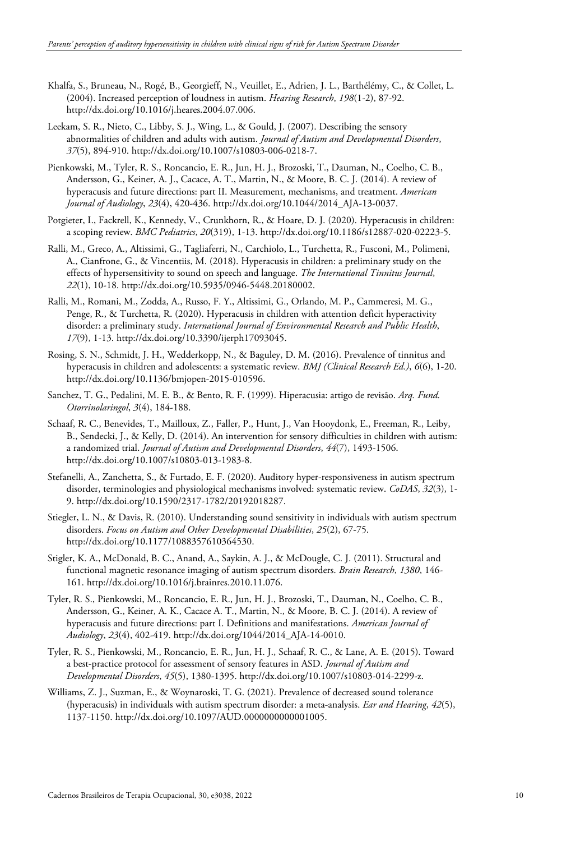- Khalfa, S., Bruneau, N., Rogé, B., Georgieff, N., Veuillet, E., Adrien, J. L., Barthélémy, C., & Collet, L. (2004). Increased perception of loudness in autism. *Hearing Research*, *198*(1-2), 87-92. http://dx.doi.org/10.1016/j.heares.2004.07.006.
- Leekam, S. R., Nieto, C., Libby, S. J., Wing, L., & Gould, J. (2007). Describing the sensory abnormalities of children and adults with autism. *Journal of Autism and Developmental Disorders*, *37*(5), 894-910. http://dx.doi.org/10.1007/s10803-006-0218-7.
- Pienkowski, M., Tyler, R. S., Roncancio, E. R., Jun, H. J., Brozoski, T., Dauman, N., Coelho, C. B., Andersson, G., Keiner, A. J., Cacace, A. T., Martin, N., & Moore, B. C. J. (2014). A review of hyperacusis and future directions: part II. Measurement, mechanisms, and treatment. *American Journal of Audiology*, *23*(4), 420-436. http://dx.doi.org/10.1044/2014\_AJA-13-0037.
- Potgieter, I., Fackrell, K., Kennedy, V., Crunkhorn, R., & Hoare, D. J. (2020). Hyperacusis in children: a scoping review. *BMC Pediatrics*, *20*(319), 1-13. http://dx.doi.org/10.1186/s12887-020-02223-5.
- Ralli, M., Greco, A., Altissimi, G., Tagliaferri, N., Carchiolo, L., Turchetta, R., Fusconi, M., Polimeni, A., Cianfrone, G., & Vincentiis, M. (2018). Hyperacusis in children: a preliminary study on the effects of hypersensitivity to sound on speech and language. *The International Tinnitus Journal*, *22*(1), 10-18. http://dx.doi.org/10.5935/0946-5448.20180002.
- Ralli, M., Romani, M., Zodda, A., Russo, F. Y., Altissimi, G., Orlando, M. P., Cammeresi, M. G., Penge, R., & Turchetta, R. (2020). Hyperacusis in children with attention deficit hyperactivity disorder: a preliminary study. *International Journal of Environmental Research and Public Health*, *17*(9), 1-13. http://dx.doi.org/10.3390/ijerph17093045.
- Rosing, S. N., Schmidt, J. H., Wedderkopp, N., & Baguley, D. M. (2016). Prevalence of tinnitus and hyperacusis in children and adolescents: a systematic review. *BMJ (Clinical Research Ed.)*, *6*(6), 1-20. http://dx.doi.org/10.1136/bmjopen-2015-010596.
- Sanchez, T. G., Pedalini, M. E. B., & Bento, R. F. (1999). Hiperacusia: artigo de revisão. *Arq. Fund. Otorrinolaringol*, *3*(4), 184-188.
- Schaaf, R. C., Benevides, T., Mailloux, Z., Faller, P., Hunt, J., Van Hooydonk, E., Freeman, R., Leiby, B., Sendecki, J., & Kelly, D. (2014). An intervention for sensory difficulties in children with autism: a randomized trial. *Journal of Autism and Developmental Disorders*, *44*(7), 1493-1506. http://dx.doi.org/10.1007/s10803-013-1983-8.
- Stefanelli, A., Zanchetta, S., & Furtado, E. F. (2020). Auditory hyper-responsiveness in autism spectrum disorder, terminologies and physiological mechanisms involved: systematic review. *CoDAS*, *32*(3), 1- 9. http://dx.doi.org/10.1590/2317-1782/20192018287.
- Stiegler, L. N., & Davis, R. (2010). Understanding sound sensitivity in individuals with autism spectrum disorders. *Focus on Autism and Other Developmental Disabilities*, *25*(2), 67-75. http://dx.doi.org/10.1177/1088357610364530.
- Stigler, K. A., McDonald, B. C., Anand, A., Saykin, A. J., & McDougle, C. J. (2011). Structural and functional magnetic resonance imaging of autism spectrum disorders. *Brain Research*, *1380*, 146- 161. http://dx.doi.org/10.1016/j.brainres.2010.11.076.
- Tyler, R. S., Pienkowski, M., Roncancio, E. R., Jun, H. J., Brozoski, T., Dauman, N., Coelho, C. B., Andersson, G., Keiner, A. K., Cacace A. T., Martin, N., & Moore, B. C. J. (2014). A review of hyperacusis and future directions: part I. Definitions and manifestations. *American Journal of Audiology*, *23*(4), 402-419. http://dx.doi.org/1044/2014\_AJA-14-0010.
- Tyler, R. S., Pienkowski, M., Roncancio, E. R., Jun, H. J., Schaaf, R. C., & Lane, A. E. (2015). Toward a best-practice protocol for assessment of sensory features in ASD. *Journal of Autism and Developmental Disorders*, *45*(5), 1380-1395. http://dx.doi.org/10.1007/s10803-014-2299-z.
- Williams, Z. J., Suzman, E., & Woynaroski, T. G. (2021). Prevalence of decreased sound tolerance (hyperacusis) in individuals with autism spectrum disorder: a meta-analysis. *Ear and Hearing*, *42*(5), 1137-1150. http://dx.doi.org/10.1097/AUD.0000000000001005.